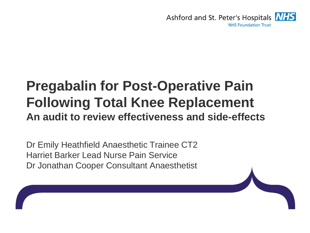

### **Pregabalin for Post-Operative Pain Following Total Knee Replacement An audit to review effectiveness and side-effects**

Dr Emily Heathfield Anaesthetic Trainee CT2 Harriet Barker Lead Nurse Pain Service Dr Jonathan Cooper Consultant Anaesthetist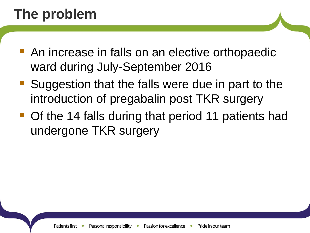# **The problem**

- An increase in falls on an elective orthopaedic ward during July-September 2016
- Suggestion that the falls were due in part to the introduction of pregabalin post TKR surgery
- Of the 14 falls during that period 11 patients had undergone TKR surgery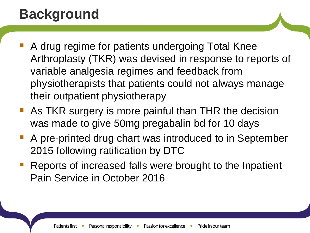# **Background**

- A drug regime for patients undergoing Total Knee Arthroplasty (TKR) was devised in response to reports of variable analgesia regimes and feedback from physiotherapists that patients could not always manage their outpatient physiotherapy
- As TKR surgery is more painful than THR the decision was made to give 50mg pregabalin bd for 10 days
- A pre-printed drug chart was introduced to in September 2015 following ratification by DTC
- Reports of increased falls were brought to the Inpatient Pain Service in October 2016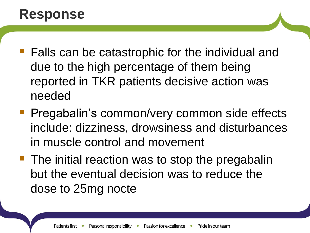### **Response**

- Falls can be catastrophic for the individual and due to the high percentage of them being reported in TKR patients decisive action was needed
- **Pregabalin's common/very common side effects** include: dizziness, drowsiness and disturbances in muscle control and movement
- The initial reaction was to stop the pregabalin but the eventual decision was to reduce the dose to 25mg nocte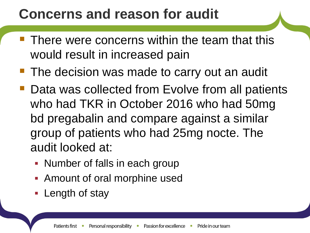# **Concerns and reason for audit**

- There were concerns within the team that this would result in increased pain
- The decision was made to carry out an audit
- Data was collected from Evolve from all patients who had TKR in October 2016 who had 50mg bd pregabalin and compare against a similar group of patients who had 25mg nocte. The audit looked at:
	- Number of falls in each group
	- **Amount of oral morphine used**
	- Length of stay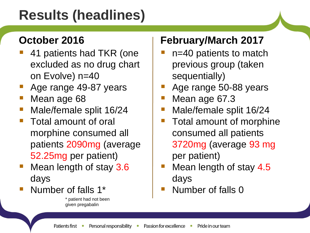# **Results (headlines)**

### **October 2016**

- 41 patients had TKR (one excluded as no drug chart on Evolve) n=40
- Age range 49-87 years
- Mean age 68
- Male/female split 16/24
- Total amount of oral morphine consumed all patients 2090mg (average 52.25mg per patient)
- Mean length of stay 3.6 days
- Number of falls 1<sup>\*</sup>

\* patient had not been given pregabalin

### **February/March 2017**

- $n=40$  patients to match previous group (taken sequentially)
- Age range 50-88 years
- Mean age 67.3
- Male/female split 16/24
- Total amount of morphine consumed all patients 3720mg (average 93 mg per patient)
- Mean length of stay 4.5 days
- Number of falls 0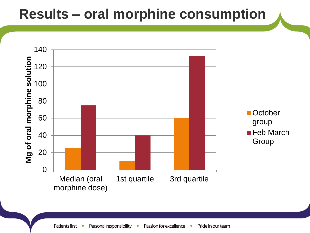## **Results – oral morphine consumption**

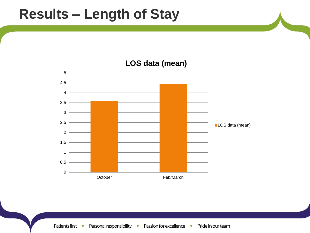### **Results – Length of Stay**



#### **LOS data (mean)**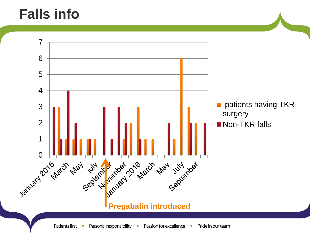# **Falls info**

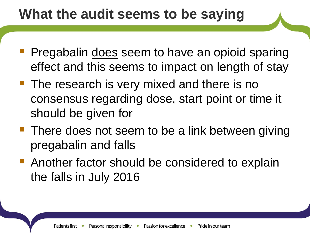## **What the audit seems to be saying**

- **Pregabalin does seem to have an opioid sparing** effect and this seems to impact on length of stay
- The research is very mixed and there is no consensus regarding dose, start point or time it should be given for
- There does not seem to be a link between giving pregabalin and falls
- Another factor should be considered to explain the falls in July 2016